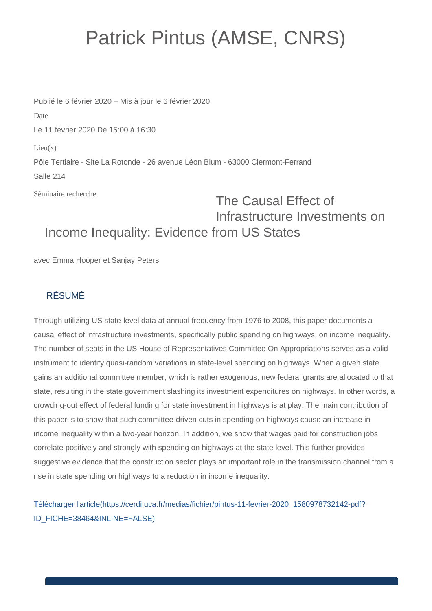## Patrick Pintus (AMSE, CNRS)

Publié le 6 février 2020 – Mis à jour le 6 février 2020 Date Le 11 février 2020 De 15:00 à 16:30  $Lieu(x)$ Pôle Tertiaire - Site La Rotonde - 26 avenue Léon Blum - 63000 Clermont-Ferrand Salle 214

Séminaire recherche

## The Causal Effect of Infrastructure Investments on Income Inequality: Evidence from US States

avec Emma Hooper et Sanjay Peters

## RÉSUMÉ

Through utilizing US state-level data at annual frequency from 1976 to 2008, this paper documents a causal effect of infrastructure investments, specifically public spending on highways, on income inequality. The number of seats in the US House of Representatives Committee On Appropriations serves as a valid instrument to identify quasi-random variations in state-level spending on highways. When a given state gains an additional committee member, which is rather exogenous, new federal grants are allocated to that state, resulting in the state government slashing its investment expenditures on highways. In other words, a crowding-out effect of federal funding for state investment in highways is at play. The main contribution of this paper is to show that such committee-driven cuts in spending on highways cause an increase in income inequality within a two-year horizon. In addition, we show that wages paid for construction jobs correlate positively and strongly with spending on highways at the state level. This further provides suggestive evidence that the construction sector plays an important role in the transmission channel from a rise in state spending on highways to a reduction in income inequality.

[Télécharger l'article\(https://cerdi.uca.fr/medias/fichier/pintus-11-fevrier-2020\\_1580978732142-pdf?](https://cerdi.uca.fr/medias/fichier/pintus-11-fevrier-2020_1580978732142-pdf?ID_FICHE=38464&INLINE=FALSE) [ID\\_FICHE=38464&INLINE=FALSE\)](https://cerdi.uca.fr/medias/fichier/pintus-11-fevrier-2020_1580978732142-pdf?ID_FICHE=38464&INLINE=FALSE)